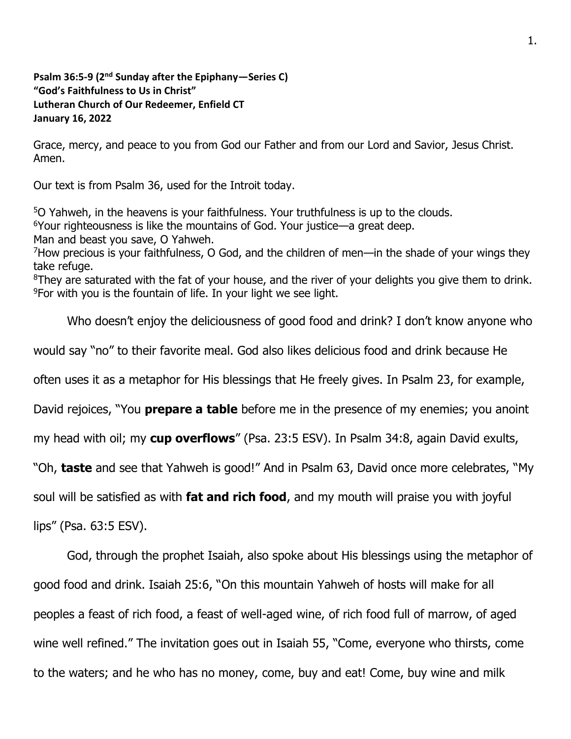**Psalm 36:5-9 (2<sup>nd</sup> Sunday after the Epiphany—Series C) "God's Faithfulness to Us in Christ" Lutheran Church of Our Redeemer, Enfield CT January 16, 2022**

Grace, mercy, and peace to you from God our Father and from our Lord and Savior, Jesus Christ. Amen.

Our text is from Psalm 36, used for the Introit today.

O Yahweh, in the heavens is your faithfulness. Your truthfulness is up to the clouds. Your righteousness is like the mountains of God. Your justice—a great deep. Man and beast you save, O Yahweh. How precious is your faithfulness, O God, and the children of men—in the shade of your wings they take refuge. They are saturated with the fat of your house, and the river of your delights you give them to drink. For with you is the fountain of life. In your light we see light.

Who doesn't enjoy the deliciousness of good food and drink? I don't know anyone who would say "no" to their favorite meal. God also likes delicious food and drink because He often uses it as a metaphor for His blessings that He freely gives. In Psalm 23, for example, David rejoices, "You **prepare a table** before me in the presence of my enemies; you anoint my head with oil; my **cup overflows**" (Psa. 23:5 ESV). In Psalm 34:8, again David exults, "Oh, **taste** and see that Yahweh is good!" And in Psalm 63, David once more celebrates, "My soul will be satisfied as with **fat and rich food**, and my mouth will praise you with joyful

lips" (Psa. 63:5 ESV).

God, through the prophet Isaiah, also spoke about His blessings using the metaphor of good food and drink. Isaiah 25:6, "On this mountain Yahweh of hosts will make for all peoples a feast of rich food, a feast of well-aged wine, of rich food full of marrow, of aged wine well refined." The invitation goes out in Isaiah 55, "Come, everyone who thirsts, come to the waters; and he who has no money, come, buy and eat! Come, buy wine and milk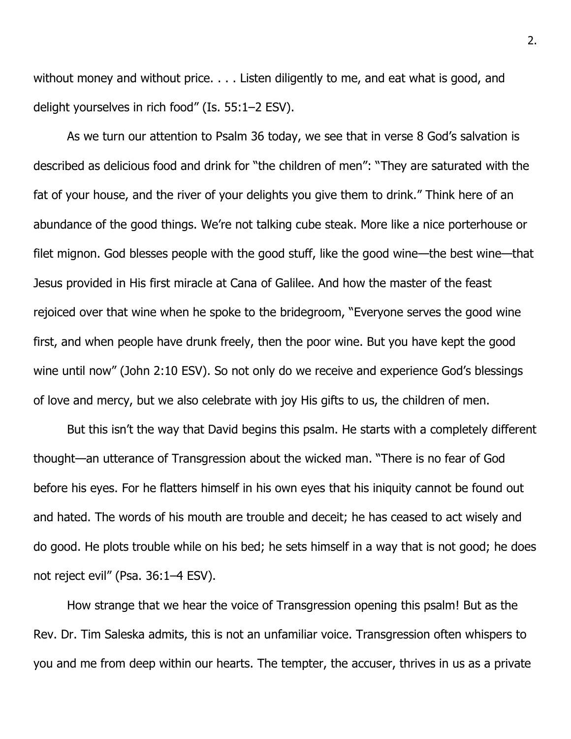without money and without price. . . . Listen diligently to me, and eat what is good, and delight yourselves in rich food" (Is. 55:1–2 ESV).

As we turn our attention to Psalm 36 today, we see that in verse 8 God's salvation is described as delicious food and drink for "the children of men": "They are saturated with the fat of your house, and the river of your delights you give them to drink." Think here of an abundance of the good things. We're not talking cube steak. More like a nice porterhouse or filet mignon. God blesses people with the good stuff, like the good wine—the best wine—that Jesus provided in His first miracle at Cana of Galilee. And how the master of the feast rejoiced over that wine when he spoke to the bridegroom, "Everyone serves the good wine first, and when people have drunk freely, then the poor wine. But you have kept the good wine until now" (John 2:10 ESV). So not only do we receive and experience God's blessings of love and mercy, but we also celebrate with joy His gifts to us, the children of men.

But this isn't the way that David begins this psalm. He starts with a completely different thought—an utterance of Transgression about the wicked man. "There is no fear of God before his eyes. For he flatters himself in his own eyes that his iniquity cannot be found out and hated. The words of his mouth are trouble and deceit; he has ceased to act wisely and do good. He plots trouble while on his bed; he sets himself in a way that is not good; he does not reject evil" (Psa. 36:1–4 ESV).

How strange that we hear the voice of Transgression opening this psalm! But as the Rev. Dr. Tim Saleska admits, this is not an unfamiliar voice. Transgression often whispers to you and me from deep within our hearts. The tempter, the accuser, thrives in us as a private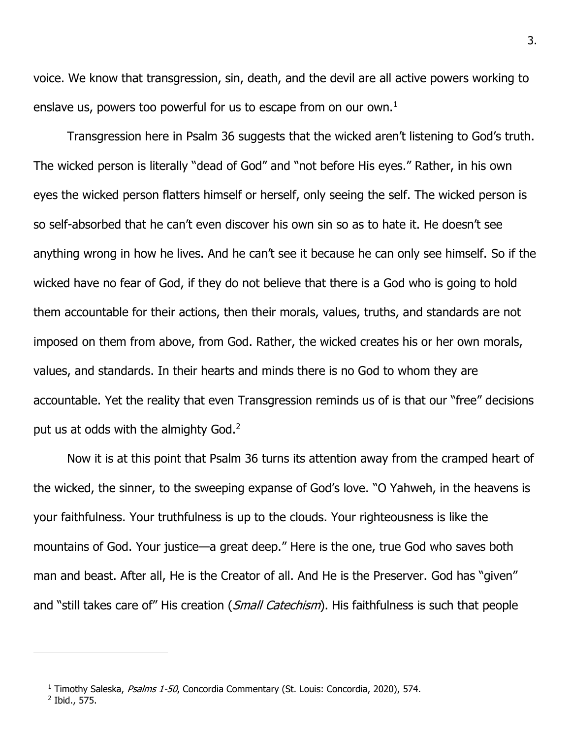voice. We know that transgression, sin, death, and the devil are all active powers working to enslave us, powers too powerful for us to escape from on our own. $<sup>1</sup>$ </sup>

Transgression here in Psalm 36 suggests that the wicked aren't listening to God's truth. The wicked person is literally "dead of God" and "not before His eyes." Rather, in his own eyes the wicked person flatters himself or herself, only seeing the self. The wicked person is so self-absorbed that he can't even discover his own sin so as to hate it. He doesn't see anything wrong in how he lives. And he can't see it because he can only see himself. So if the wicked have no fear of God, if they do not believe that there is a God who is going to hold them accountable for their actions, then their morals, values, truths, and standards are not imposed on them from above, from God. Rather, the wicked creates his or her own morals, values, and standards. In their hearts and minds there is no God to whom they are accountable. Yet the reality that even Transgression reminds us of is that our "free" decisions put us at odds with the almighty  $God<sup>2</sup>$ .

Now it is at this point that Psalm 36 turns its attention away from the cramped heart of the wicked, the sinner, to the sweeping expanse of God's love. "O Yahweh, in the heavens is your faithfulness. Your truthfulness is up to the clouds. Your righteousness is like the mountains of God. Your justice—a great deep." Here is the one, true God who saves both man and beast. After all, He is the Creator of all. And He is the Preserver. God has "given" and "still takes care of" His creation (*Small Catechism*). His faithfulness is such that people

2 Ibid., 575.

<sup>&</sup>lt;sup>1</sup> Timothy Saleska, Psalms 1-50, Concordia Commentary (St. Louis: Concordia, 2020), 574.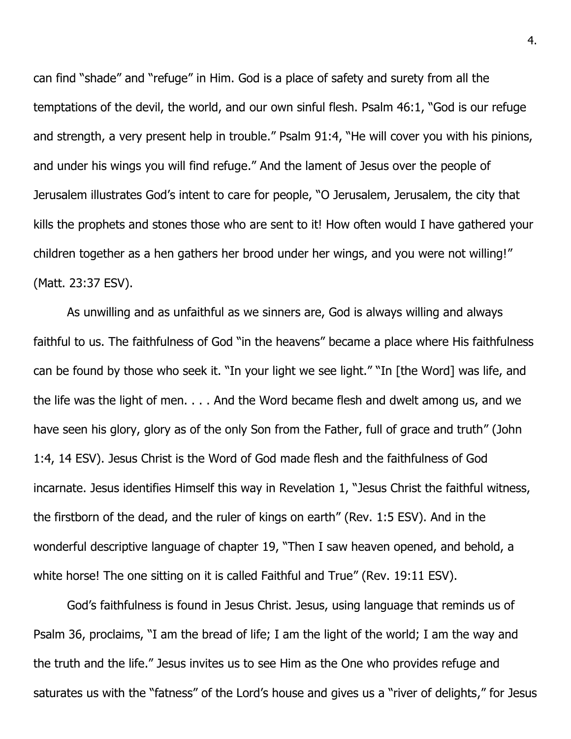can find "shade" and "refuge" in Him. God is a place of safety and surety from all the temptations of the devil, the world, and our own sinful flesh. Psalm 46:1, "God is our refuge and strength, a very present help in trouble." Psalm 91:4, "He will cover you with his pinions, and under his wings you will find refuge." And the lament of Jesus over the people of Jerusalem illustrates God's intent to care for people, "O Jerusalem, Jerusalem, the city that kills the prophets and stones those who are sent to it! How often would I have gathered your children together as a hen gathers her brood under her wings, and you were not willing!" (Matt. 23:37 ESV).

As unwilling and as unfaithful as we sinners are, God is always willing and always faithful to us. The faithfulness of God "in the heavens" became a place where His faithfulness can be found by those who seek it. "In your light we see light." "In [the Word] was life, and the life was the light of men. . . . And the Word became flesh and dwelt among us, and we have seen his glory, glory as of the only Son from the Father, full of grace and truth" (John 1:4, 14 ESV). Jesus Christ is the Word of God made flesh and the faithfulness of God incarnate. Jesus identifies Himself this way in Revelation 1, "Jesus Christ the faithful witness, the firstborn of the dead, and the ruler of kings on earth" (Rev. 1:5 ESV). And in the wonderful descriptive language of chapter 19, "Then I saw heaven opened, and behold, a white horse! The one sitting on it is called Faithful and True" (Rev. 19:11 ESV).

God's faithfulness is found in Jesus Christ. Jesus, using language that reminds us of Psalm 36, proclaims, "I am the bread of life; I am the light of the world; I am the way and the truth and the life." Jesus invites us to see Him as the One who provides refuge and saturates us with the "fatness" of the Lord's house and gives us a "river of delights," for Jesus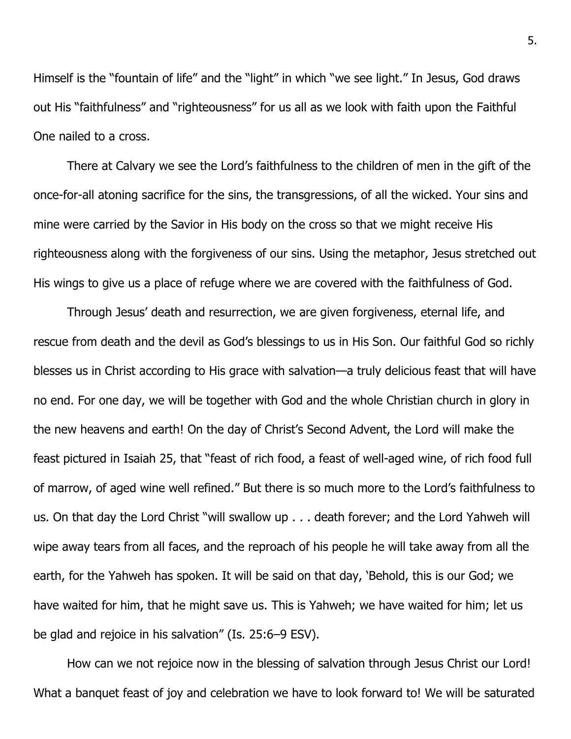Himself is the "fountain of life" and the "light" in which "we see light." In Jesus, God draws out His "faithfulness" and "righteousness" for us all as we look with faith upon the Faithful One nailed to a cross.

There at Calvary we see the Lord's faithfulness to the children of men in the gift of the once-for-all atoning sacrifice for the sins, the transgressions, of all the wicked. Your sins and mine were carried by the Savior in His body on the cross so that we might receive His righteousness along with the forgiveness of our sins. Using the metaphor, Jesus stretched out His wings to give us a place of refuge where we are covered with the faithfulness of God.

Through Jesus' death and resurrection, we are given forgiveness, eternal life, and rescue from death and the devil as God's blessings to us in His Son. Our faithful God so richly blesses us in Christ according to His grace with salvation—a truly delicious feast that will have no end. For one day, we will be together with God and the whole Christian church in glory in the new heavens and earth! On the day of Christ's Second Advent, the Lord will make the feast pictured in Isaiah 25, that "feast of rich food, a feast of well-aged wine, of rich food full of marrow, of aged wine well refined." But there is so much more to the Lord's faithfulness to us. On that day the Lord Christ "will swallow up . . . death forever; and the Lord Yahweh will wipe away tears from all faces, and the reproach of his people he will take away from all the earth, for the Yahweh has spoken. It will be said on that day, 'Behold, this is our God; we have waited for him, that he might save us. This is Yahweh; we have waited for him; let us be glad and rejoice in his salvation" (Is. 25:6–9 ESV).

How can we not rejoice now in the blessing of salvation through Jesus Christ our Lord! What a banquet feast of joy and celebration we have to look forward to! We will be saturated